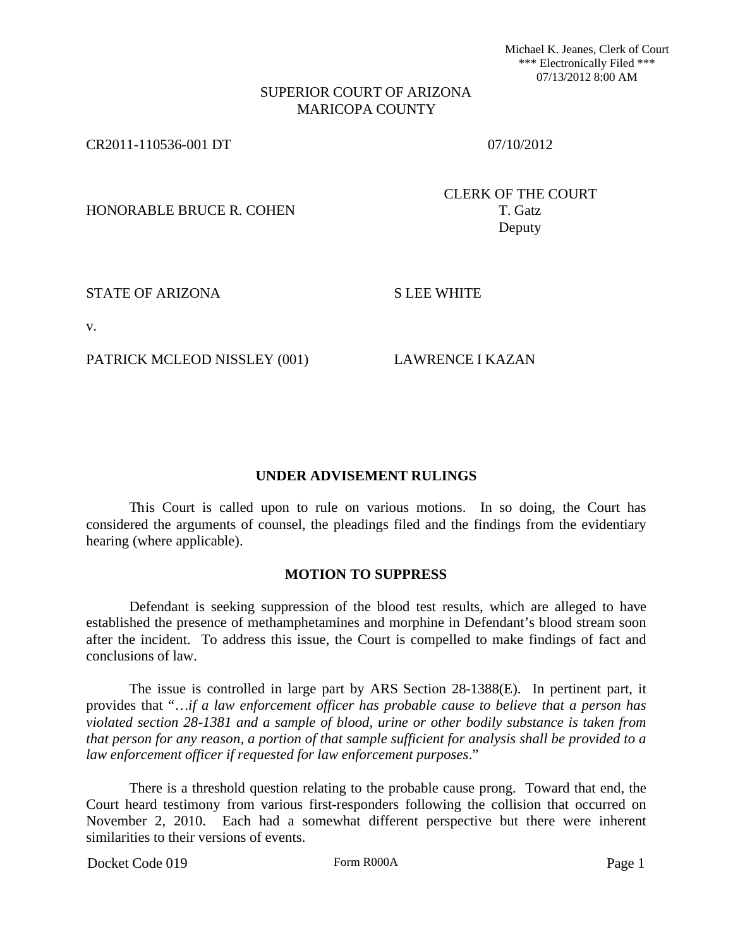Michael K. Jeanes, Clerk of Court \*\*\* Electronically Filed \*\*\* 07/13/2012 8:00 AM

### SUPERIOR COURT OF ARIZONA MARICOPA COUNTY

CR2011-110536-001 DT 07/10/2012

HONORABLE BRUCE R. COHEN T. Gatz

CLERK OF THE COURT Deputy

STATE OF ARIZONA S LEE WHITE

v.

PATRICK MCLEOD NISSLEY (001) LAWRENCE I KAZAN

#### **UNDER ADVISEMENT RULINGS**

This Court is called upon to rule on various motions. In so doing, the Court has considered the arguments of counsel, the pleadings filed and the findings from the evidentiary hearing (where applicable).

### **MOTION TO SUPPRESS**

Defendant is seeking suppression of the blood test results, which are alleged to have established the presence of methamphetamines and morphine in Defendant's blood stream soon after the incident. To address this issue, the Court is compelled to make findings of fact and conclusions of law.

The issue is controlled in large part by ARS Section 28-1388(E). In pertinent part, it provides that "…*if a law enforcement officer has probable cause to believe that a person has violated section 28-1381 and a sample of blood, urine or other bodily substance is taken from that person for any reason, a portion of that sample sufficient for analysis shall be provided to a law enforcement officer if requested for law enforcement purposes*."

There is a threshold question relating to the probable cause prong. Toward that end, the Court heard testimony from various first-responders following the collision that occurred on November 2, 2010. Each had a somewhat different perspective but there were inherent similarities to their versions of events.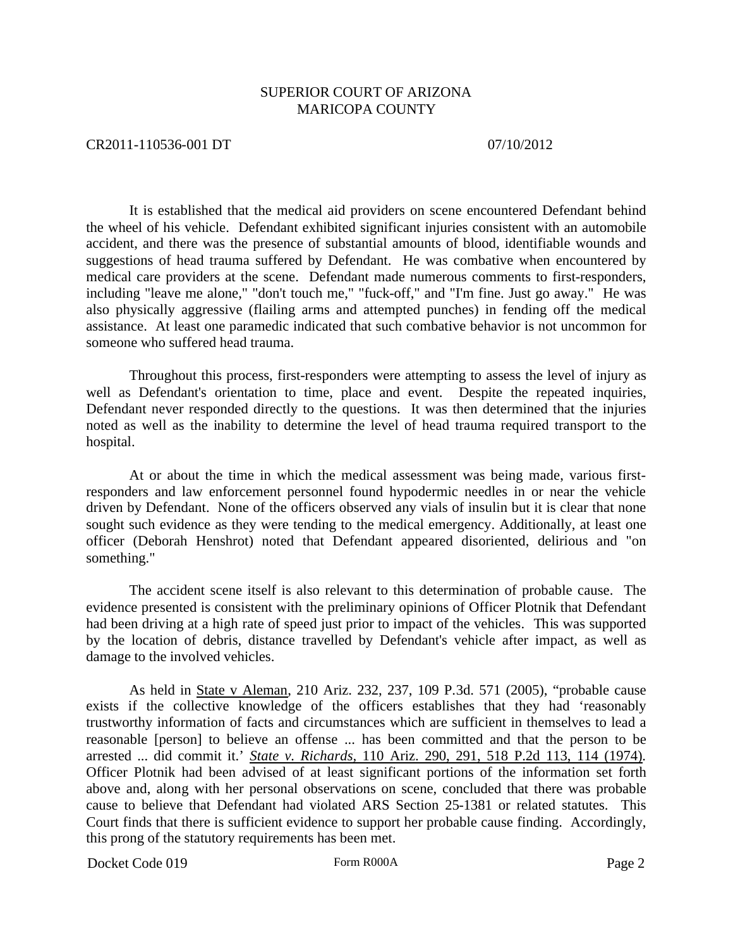#### CR2011-110536-001 DT 07/10/2012

It is established that the medical aid providers on scene encountered Defendant behind the wheel of his vehicle. Defendant exhibited significant injuries consistent with an automobile accident, and there was the presence of substantial amounts of blood, identifiable wounds and suggestions of head trauma suffered by Defendant. He was combative when encountered by medical care providers at the scene. Defendant made numerous comments to first-responders, including "leave me alone," "don't touch me," "fuck-off," and "I'm fine. Just go away." He was also physically aggressive (flailing arms and attempted punches) in fending off the medical assistance. At least one paramedic indicated that such combative behavior is not uncommon for someone who suffered head trauma.

Throughout this process, first-responders were attempting to assess the level of injury as well as Defendant's orientation to time, place and event. Despite the repeated inquiries, Defendant never responded directly to the questions. It was then determined that the injuries noted as well as the inability to determine the level of head trauma required transport to the hospital.

At or about the time in which the medical assessment was being made, various firstresponders and law enforcement personnel found hypodermic needles in or near the vehicle driven by Defendant. None of the officers observed any vials of insulin but it is clear that none sought such evidence as they were tending to the medical emergency. Additionally, at least one officer (Deborah Henshrot) noted that Defendant appeared disoriented, delirious and "on something."

The accident scene itself is also relevant to this determination of probable cause. The evidence presented is consistent with the preliminary opinions of Officer Plotnik that Defendant had been driving at a high rate of speed just prior to impact of the vehicles. This was supported by the location of debris, distance travelled by Defendant's vehicle after impact, as well as damage to the involved vehicles.

As held in State v Aleman, 210 Ariz. 232, 237, 109 P.3d. 571 (2005), "probable cause exists if the collective knowledge of the officers establishes that they had 'reasonably trustworthy information of facts and circumstances which are sufficient in themselves to lead a reasonable [person] to believe an offense ... has been committed and that the person to be arrested ... did commit it.' *State v. Richards,* 110 Ariz. 290, 291, 518 P.2d 113, 114 (1974). Officer Plotnik had been advised of at least significant portions of the information set forth above and, along with her personal observations on scene, concluded that there was probable cause to believe that Defendant had violated ARS Section 25-1381 or related statutes. This Court finds that there is sufficient evidence to support her probable cause finding. Accordingly, this prong of the statutory requirements has been met.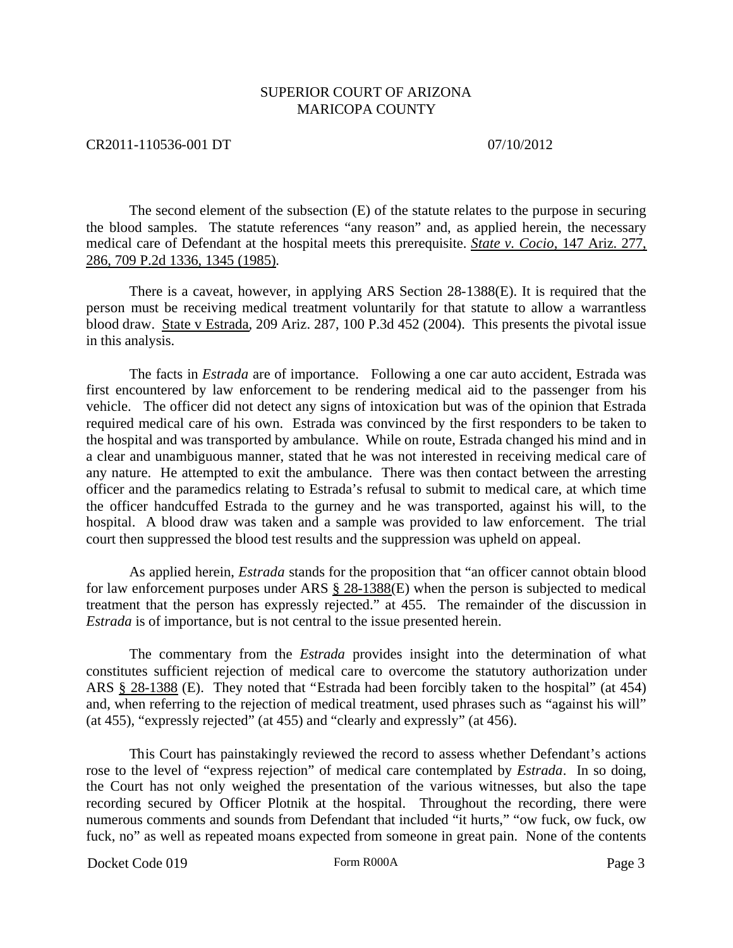### CR2011-110536-001 DT 07/10/2012

The second element of the subsection (E) of the statute relates to the purpose in securing the blood samples. The statute references "any reason" and, as applied herein, the necessary medical care of Defendant at the hospital meets this prerequisite. *State v. Cocio,* 147 Ariz. 277, 286, 709 P.2d 1336, 1345 (1985).

There is a caveat, however, in applying ARS Section 28-1388(E). It is required that the person must be receiving medical treatment voluntarily for that statute to allow a warrantless blood draw. State v Estrada, 209 Ariz. 287, 100 P.3d 452 (2004). This presents the pivotal issue in this analysis.

The facts in *Estrada* are of importance. Following a one car auto accident, Estrada was first encountered by law enforcement to be rendering medical aid to the passenger from his vehicle. The officer did not detect any signs of intoxication but was of the opinion that Estrada required medical care of his own. Estrada was convinced by the first responders to be taken to the hospital and was transported by ambulance. While on route, Estrada changed his mind and in a clear and unambiguous manner, stated that he was not interested in receiving medical care of any nature. He attempted to exit the ambulance. There was then contact between the arresting officer and the paramedics relating to Estrada's refusal to submit to medical care, at which time the officer handcuffed Estrada to the gurney and he was transported, against his will, to the hospital. A blood draw was taken and a sample was provided to law enforcement. The trial court then suppressed the blood test results and the suppression was upheld on appeal.

As applied herein, *Estrada* stands for the proposition that "an officer cannot obtain blood for law enforcement purposes under ARS  $\S$  28-1388(E) when the person is subjected to medical treatment that the person has expressly rejected." at 455. The remainder of the discussion in *Estrada* is of importance, but is not central to the issue presented herein.

The commentary from the *Estrada* provides insight into the determination of what constitutes sufficient rejection of medical care to overcome the statutory authorization under ARS § 28-1388 (E). They noted that "Estrada had been forcibly taken to the hospital" (at 454) and, when referring to the rejection of medical treatment, used phrases such as "against his will" (at 455), "expressly rejected" (at 455) and "clearly and expressly" (at 456).

This Court has painstakingly reviewed the record to assess whether Defendant's actions rose to the level of "express rejection" of medical care contemplated by *Estrada*. In so doing, the Court has not only weighed the presentation of the various witnesses, but also the tape recording secured by Officer Plotnik at the hospital. Throughout the recording, there were numerous comments and sounds from Defendant that included "it hurts," "ow fuck, ow fuck, ow fuck, no" as well as repeated moans expected from someone in great pain. None of the contents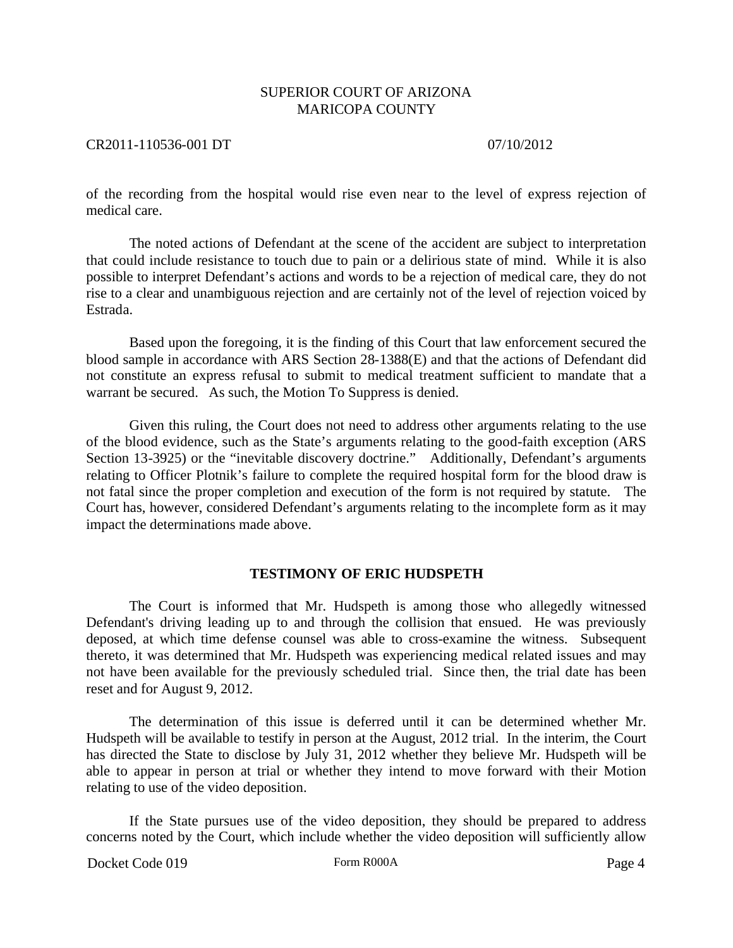### CR2011-110536-001 DT 07/10/2012

of the recording from the hospital would rise even near to the level of express rejection of medical care.

The noted actions of Defendant at the scene of the accident are subject to interpretation that could include resistance to touch due to pain or a delirious state of mind. While it is also possible to interpret Defendant's actions and words to be a rejection of medical care, they do not rise to a clear and unambiguous rejection and are certainly not of the level of rejection voiced by Estrada.

Based upon the foregoing, it is the finding of this Court that law enforcement secured the blood sample in accordance with ARS Section 28-1388(E) and that the actions of Defendant did not constitute an express refusal to submit to medical treatment sufficient to mandate that a warrant be secured. As such, the Motion To Suppress is denied.

Given this ruling, the Court does not need to address other arguments relating to the use of the blood evidence, such as the State's arguments relating to the good-faith exception (ARS Section 13-3925) or the "inevitable discovery doctrine." Additionally, Defendant's arguments relating to Officer Plotnik's failure to complete the required hospital form for the blood draw is not fatal since the proper completion and execution of the form is not required by statute. The Court has, however, considered Defendant's arguments relating to the incomplete form as it may impact the determinations made above.

#### **TESTIMONY OF ERIC HUDSPETH**

The Court is informed that Mr. Hudspeth is among those who allegedly witnessed Defendant's driving leading up to and through the collision that ensued. He was previously deposed, at which time defense counsel was able to cross-examine the witness. Subsequent thereto, it was determined that Mr. Hudspeth was experiencing medical related issues and may not have been available for the previously scheduled trial. Since then, the trial date has been reset and for August 9, 2012.

The determination of this issue is deferred until it can be determined whether Mr. Hudspeth will be available to testify in person at the August, 2012 trial. In the interim, the Court has directed the State to disclose by July 31, 2012 whether they believe Mr. Hudspeth will be able to appear in person at trial or whether they intend to move forward with their Motion relating to use of the video deposition.

If the State pursues use of the video deposition, they should be prepared to address concerns noted by the Court, which include whether the video deposition will sufficiently allow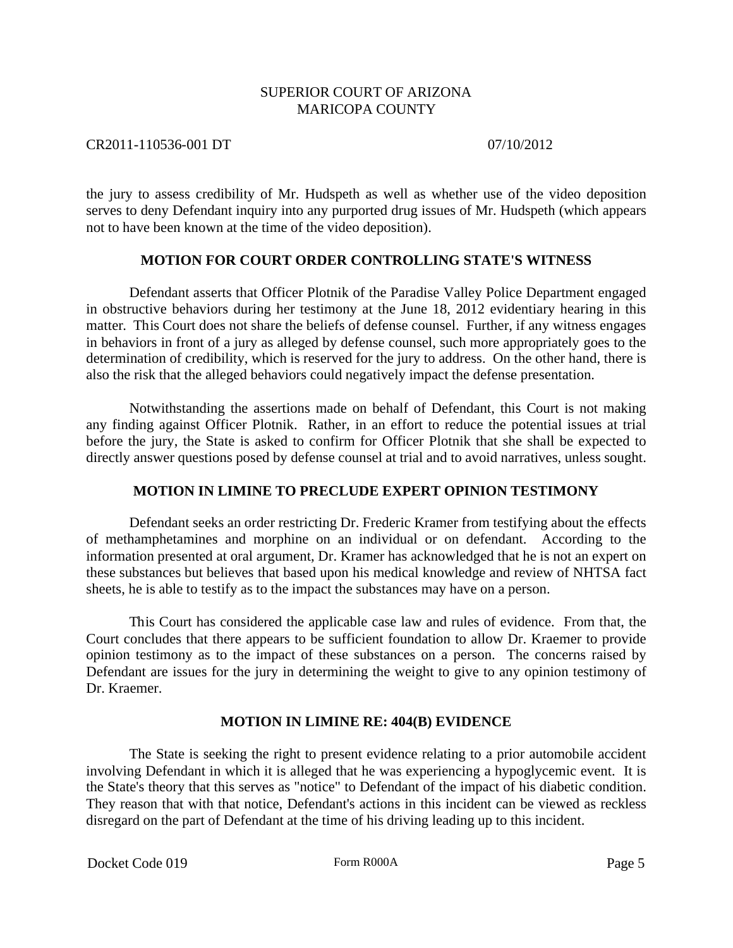CR2011-110536-001 DT 07/10/2012

the jury to assess credibility of Mr. Hudspeth as well as whether use of the video deposition serves to deny Defendant inquiry into any purported drug issues of Mr. Hudspeth (which appears not to have been known at the time of the video deposition).

# **MOTION FOR COURT ORDER CONTROLLING STATE'S WITNESS**

Defendant asserts that Officer Plotnik of the Paradise Valley Police Department engaged in obstructive behaviors during her testimony at the June 18, 2012 evidentiary hearing in this matter. This Court does not share the beliefs of defense counsel. Further, if any witness engages in behaviors in front of a jury as alleged by defense counsel, such more appropriately goes to the determination of credibility, which is reserved for the jury to address. On the other hand, there is also the risk that the alleged behaviors could negatively impact the defense presentation.

Notwithstanding the assertions made on behalf of Defendant, this Court is not making any finding against Officer Plotnik. Rather, in an effort to reduce the potential issues at trial before the jury, the State is asked to confirm for Officer Plotnik that she shall be expected to directly answer questions posed by defense counsel at trial and to avoid narratives, unless sought.

# **MOTION IN LIMINE TO PRECLUDE EXPERT OPINION TESTIMONY**

Defendant seeks an order restricting Dr. Frederic Kramer from testifying about the effects of methamphetamines and morphine on an individual or on defendant. According to the information presented at oral argument, Dr. Kramer has acknowledged that he is not an expert on these substances but believes that based upon his medical knowledge and review of NHTSA fact sheets, he is able to testify as to the impact the substances may have on a person.

This Court has considered the applicable case law and rules of evidence. From that, the Court concludes that there appears to be sufficient foundation to allow Dr. Kraemer to provide opinion testimony as to the impact of these substances on a person. The concerns raised by Defendant are issues for the jury in determining the weight to give to any opinion testimony of Dr. Kraemer.

# **MOTION IN LIMINE RE: 404(B) EVIDENCE**

The State is seeking the right to present evidence relating to a prior automobile accident involving Defendant in which it is alleged that he was experiencing a hypoglycemic event. It is the State's theory that this serves as "notice" to Defendant of the impact of his diabetic condition. They reason that with that notice, Defendant's actions in this incident can be viewed as reckless disregard on the part of Defendant at the time of his driving leading up to this incident.